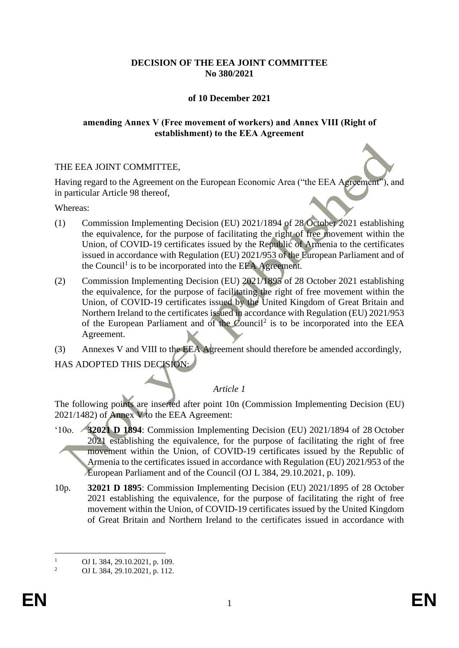### **DECISION OF THE EEA JOINT COMMITTEE No 380/2021**

### **of 10 December 2021**

#### **amending Annex V (Free movement of workers) and Annex VIII (Right of establishment) to the EEA Agreement**

### THE EEA JOINT COMMITTEE,

Having regard to the Agreement on the European Economic Area ("the EEA Agreement"), and in particular Article 98 thereof,

Whereas:

- (1) Commission Implementing Decision (EU) 2021/1894 of 28 October 2021 establishing the equivalence, for the purpose of facilitating the right of free movement within the Union, of COVID-19 certificates issued by the Republic of Armenia to the certificates issued in accordance with Regulation (EU) 2021/953 of the European Parliament and of the Council<sup>1</sup> is to be incorporated into the EEA Agreement.
- (2) Commission Implementing Decision (EU) 2021/1895 of 28 October 2021 establishing the equivalence, for the purpose of facilitating the right of free movement within the Union, of COVID-19 certificates issued by the United Kingdom of Great Britain and Northern Ireland to the certificates issued in accordance with Regulation (EU) 2021/953 of the European Parliament and of the Council<sup>2</sup> is to be incorporated into the EEA Agreement.
- (3) Annexes V and VIII to the EEA Agreement should therefore be amended accordingly,

HAS ADOPTED THIS DECISION:

# *Article 1*

The following points are inserted after point 10n (Commission Implementing Decision (EU) 2021/1482) of Annex V to the EEA Agreement:

- '10o. **32021 D 1894**: Commission Implementing Decision (EU) 2021/1894 of 28 October 2021 establishing the equivalence, for the purpose of facilitating the right of free movement within the Union, of COVID-19 certificates issued by the Republic of Armenia to the certificates issued in accordance with Regulation (EU) 2021/953 of the European Parliament and of the Council (OJ L 384, 29.10.2021, p. 109).
- 10p. **32021 D 1895**: Commission Implementing Decision (EU) 2021/1895 of 28 October 2021 establishing the equivalence, for the purpose of facilitating the right of free movement within the Union, of COVID-19 certificates issued by the United Kingdom of Great Britain and Northern Ireland to the certificates issued in accordance with

<sup>&</sup>lt;sup>1</sup> OJ L 384, 29.10.2021, p. 109.

<sup>2</sup> OJ L 384, 29.10.2021, p. 112.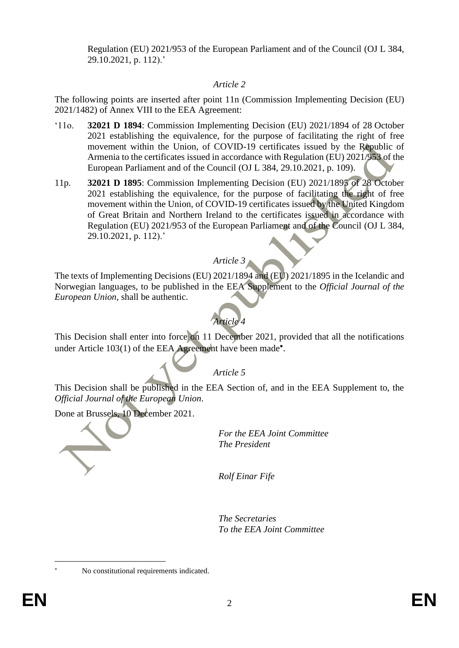Regulation (EU) 2021/953 of the European Parliament and of the Council (OJ L 384, 29.10.2021, p. 112).'

# *Article 2*

The following points are inserted after point 11n (Commission Implementing Decision (EU) 2021/1482) of Annex VIII to the EEA Agreement:

- '11o. **32021 D 1894**: Commission Implementing Decision (EU) 2021/1894 of 28 October 2021 establishing the equivalence, for the purpose of facilitating the right of free movement within the Union, of COVID-19 certificates issued by the Republic of Armenia to the certificates issued in accordance with Regulation (EU) 2021/953 of the European Parliament and of the Council (OJ L 384, 29.10.2021, p. 109).
- 11p. **32021 D 1895**: Commission Implementing Decision (EU) 2021/1895 of 28 October 2021 establishing the equivalence, for the purpose of facilitating the right of free movement within the Union, of COVID-19 certificates issued by the United Kingdom of Great Britain and Northern Ireland to the certificates issued in accordance with Regulation (EU) 2021/953 of the European Parliament and of the Council (OJ L 384, 29.10.2021, p. 112).'

# *Article 3*

The texts of Implementing Decisions (EU) 2021/1894 and (EU) 2021/1895 in the Icelandic and Norwegian languages, to be published in the EEA Supplement to the *Official Journal of the European Union*, shall be authentic.



This Decision shall enter into force on 11 December 2021, provided that all the notifications under Article 103(1) of the EEA Agreement have been made<sup>\*</sup>.

# *Article 5*

This Decision shall be published in the EEA Section of, and in the EEA Supplement to, the *Official Journal of the European Union*.

Done at Brussels, 10 December 2021.

No constitutional requirements indicated.



*For the EEA Joint Committee The President*

*Rolf Einar Fife*

*The Secretaries To the EEA Joint Committee*